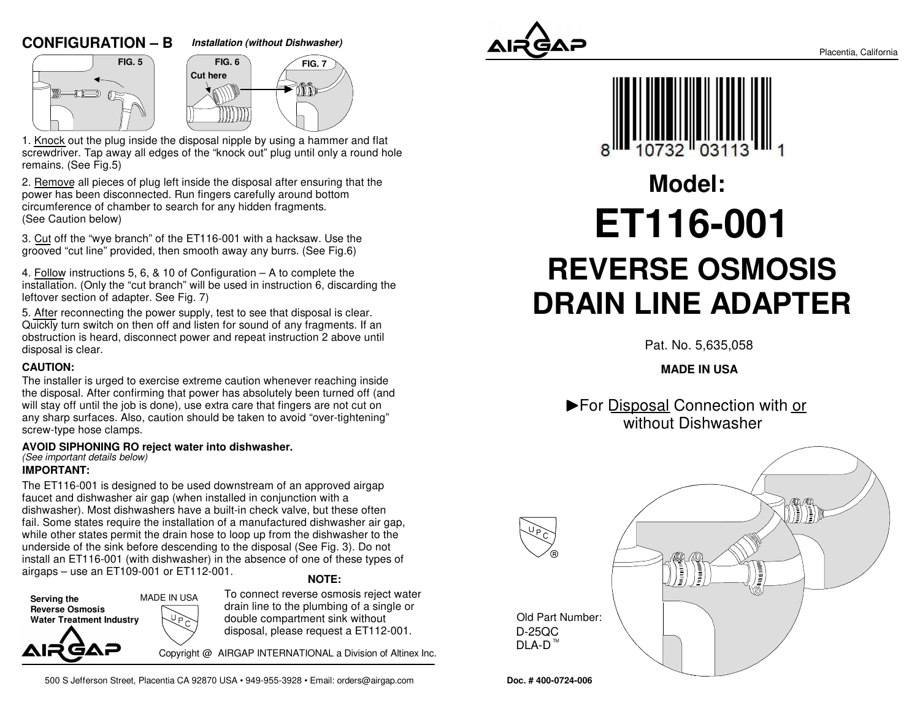# **CONFIGURATION – B**



**FIG. 7**



1. Knock out the plug inside the disposal nipple by using a hammer and flat screwdriver. Tap away all edges of the "knock out" plug until only a round holeremains. (See Fig.5)

2. Remove all pieces of plug left inside the disposal after ensuring that thepower has been disconnected. Run fingers carefully around bottomcircumference of chamber to search for any hidden fragments.(See Caution below)

3. Cut off the "wye branch" of the ET116-001 with a hacksaw. Use thegrooved "cut line" provided, then smooth away any burrs. (See Fig.6)

4. Follow instructions 5, 6, & 10 of Configuration – A to complete the installation. (Only the "cut branch" will be used in instruction 6, discarding theleftover section of adapter. See Fig. 7)

5. After reconnecting the power supply, test to see that disposal is clear. Quickly turn switch on then off and listen for sound of any fragments. If an obstruction is heard, disconnect power and repeat instruction 2 above untildisposal is clear.

#### **CAUTION:**

The installer is urged to exercise extreme caution whenever reaching inside the disposal. After confirming that power has absolutely been turned off (andwill stay off until the job is done), use extra care that fingers are not cut on any sharp surfaces. Also, caution should be taken to avoid "over-tightening"screw-type hose clamps.

#### **AVOID SIPHONING RO reject water into dishwasher.**

# (See important details below)

## **IMPORTANT:**

The ET116-001 is designed to be used downstream of an approved airgapfaucet and dishwasher air gap (when installed in conjunction with a dishwasher). Most dishwashers have a built-in check valve, but these often fail. Some states require the installation of a manufactured dishwasher air gap,while other states permit the drain hose to loop up from the dishwasher to the underside of the sink before descending to the disposal (See Fig. 3). Do not install an ET116-001 (with dishwasher) in the absence of one of these types ofairgaps – use an ET109-001 or ET112-001.

#### **NOTE:**

**Serving the Reverse Osmosis Water Treatment Industry**MADE IN USA To connect reverse osmosis reject waterdrain line to the plumbing of a single ordouble compartment sink withoutdisposal, please request a ET112-001.

Copyright @ AIRGAP INTERNATIONAL a Division of Altinex Inc.

500 S Jefferson Street, Placentia CA 92870 USA • 949-955-3928 • Email: orders@airgap.com





# **REVERSE OSMOSIS DRAIN LINE ADAPTERModel:ET116-001**

Pat. No. 5,635,058

# **MADE IN USA**

▶ For Disposal Connection with or without Dishwasher